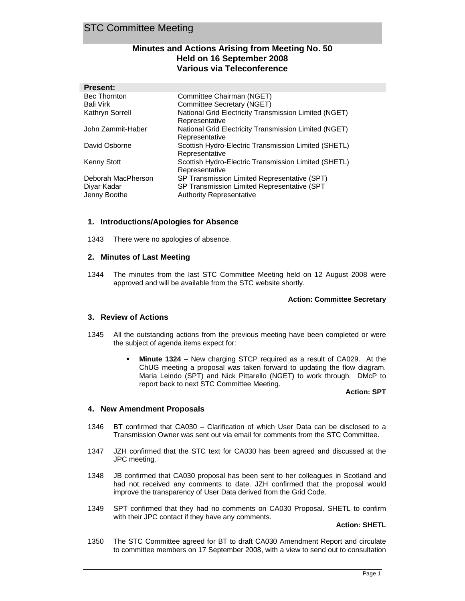## **Minutes and Actions Arising from Meeting No. 50 Held on 16 September 2008 Various via Teleconference**

| <b>Present:</b>     |                                                                         |
|---------------------|-------------------------------------------------------------------------|
| <b>Bec Thornton</b> | Committee Chairman (NGET)                                               |
| Bali Virk           | Committee Secretary (NGET)                                              |
| Kathryn Sorrell     | National Grid Electricity Transmission Limited (NGET)<br>Representative |
| John Zammit-Haber   | National Grid Electricity Transmission Limited (NGET)<br>Representative |
| David Osborne       | Scottish Hydro-Electric Transmission Limited (SHETL)<br>Representative  |
| <b>Kenny Stott</b>  | Scottish Hydro-Electric Transmission Limited (SHETL)<br>Representative  |
| Deborah MacPherson  | SP Transmission Limited Representative (SPT)                            |
| Diyar Kadar         | SP Transmission Limited Representative (SPT                             |
| Jenny Boothe        | <b>Authority Representative</b>                                         |

## **1. Introductions/Apologies for Absence**

1343 There were no apologies of absence.

#### **2. Minutes of Last Meeting**

1344 The minutes from the last STC Committee Meeting held on 12 August 2008 were approved and will be available from the STC website shortly.

#### **Action: Committee Secretary**

## **3. Review of Actions**

- 1345 All the outstanding actions from the previous meeting have been completed or were the subject of agenda items expect for:
	- **Minute 1324** New charging STCP required as a result of CA029. At the ChUG meeting a proposal was taken forward to updating the flow diagram. Maria Leindo (SPT) and Nick Pittarello (NGET) to work through. DMcP to report back to next STC Committee Meeting.

#### **Action: SPT**

#### **4. New Amendment Proposals**

- 1346 BT confirmed that CA030 Clarification of which User Data can be disclosed to a Transmission Owner was sent out via email for comments from the STC Committee.
- 1347 JZH confirmed that the STC text for CA030 has been agreed and discussed at the JPC meeting.
- 1348 JB confirmed that CA030 proposal has been sent to her colleagues in Scotland and had not received any comments to date. JZH confirmed that the proposal would improve the transparency of User Data derived from the Grid Code.
- 1349 SPT confirmed that they had no comments on CA030 Proposal. SHETL to confirm with their JPC contact if they have any comments.

## **Action: SHETL**

1350 The STC Committee agreed for BT to draft CA030 Amendment Report and circulate to committee members on 17 September 2008, with a view to send out to consultation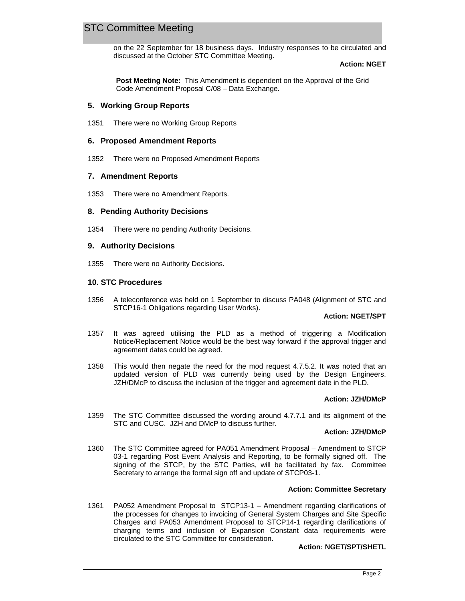on the 22 September for 18 business days. Industry responses to be circulated and discussed at the October STC Committee Meeting.

#### **Action: NGET**

**Post Meeting Note:** This Amendment is dependent on the Approval of the Grid Code Amendment Proposal C/08 – Data Exchange.

## **5. Working Group Reports**

1351 There were no Working Group Reports

## **6. Proposed Amendment Reports**

1352 There were no Proposed Amendment Reports

## **7. Amendment Reports**

1353 There were no Amendment Reports.

## **8. Pending Authority Decisions**

1354 There were no pending Authority Decisions.

## **9. Authority Decisions**

1355 There were no Authority Decisions.

## **10. STC Procedures**

1356 A teleconference was held on 1 September to discuss PA048 (Alignment of STC and STCP16-1 Obligations regarding User Works).

#### **Action: NGET/SPT**

- 1357 It was agreed utilising the PLD as a method of triggering a Modification Notice/Replacement Notice would be the best way forward if the approval trigger and agreement dates could be agreed.
- 1358 This would then negate the need for the mod request 4.7.5.2. It was noted that an updated version of PLD was currently being used by the Design Engineers. JZH/DMcP to discuss the inclusion of the trigger and agreement date in the PLD.

#### **Action: JZH/DMcP**

1359 The STC Committee discussed the wording around 4.7.7.1 and its alignment of the STC and CUSC. JZH and DMcP to discuss further.

#### **Action: JZH/DMcP**

1360 The STC Committee agreed for PA051 Amendment Proposal – Amendment to STCP 03-1 regarding Post Event Analysis and Reporting, to be formally signed off. The signing of the STCP, by the STC Parties, will be facilitated by fax. Committee Secretary to arrange the formal sign off and update of STCP03-1.

#### **Action: Committee Secretary**

1361 PA052 Amendment Proposal to STCP13-1 – Amendment regarding clarifications of the processes for changes to invoicing of General System Charges and Site Specific Charges and PA053 Amendment Proposal to STCP14-1 regarding clarifications of charging terms and inclusion of Expansion Constant data requirements were circulated to the STC Committee for consideration.

#### **Action: NGET/SPT/SHETL**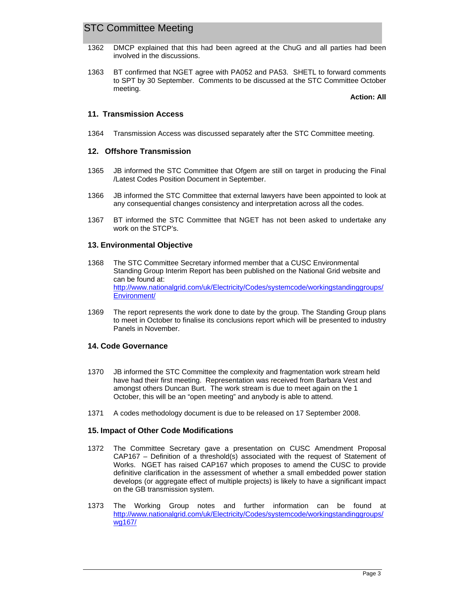- 1362 DMCP explained that this had been agreed at the ChuG and all parties had been involved in the discussions.
- 1363 BT confirmed that NGET agree with PA052 and PA53. SHETL to forward comments to SPT by 30 September. Comments to be discussed at the STC Committee October meeting.

**Action: All**

## **11. Transmission Access**

1364 Transmission Access was discussed separately after the STC Committee meeting.

### **12. Offshore Transmission**

- 1365 JB informed the STC Committee that Ofgem are still on target in producing the Final /Latest Codes Position Document in September.
- 1366 JB informed the STC Committee that external lawyers have been appointed to look at any consequential changes consistency and interpretation across all the codes.
- 1367 BT informed the STC Committee that NGET has not been asked to undertake any work on the STCP's.

## **13. Environmental Objective**

- 1368 The STC Committee Secretary informed member that a CUSC Environmental Standing Group Interim Report has been published on the National Grid website and can be found at: http://www.nationalgrid.com/uk/Electricity/Codes/systemcode/workingstandinggroups/ Environment/
- 1369 The report represents the work done to date by the group. The Standing Group plans to meet in October to finalise its conclusions report which will be presented to industry Panels in November.

## **14. Code Governance**

- 1370 JB informed the STC Committee the complexity and fragmentation work stream held have had their first meeting. Representation was received from Barbara Vest and amongst others Duncan Burt. The work stream is due to meet again on the 1 October, this will be an "open meeting" and anybody is able to attend.
- 1371 A codes methodology document is due to be released on 17 September 2008.

## **15. Impact of Other Code Modifications**

- 1372 The Committee Secretary gave a presentation on CUSC Amendment Proposal CAP167 – Definition of a threshold(s) associated with the request of Statement of Works. NGET has raised CAP167 which proposes to amend the CUSC to provide definitive clarification in the assessment of whether a small embedded power station develops (or aggregate effect of multiple projects) is likely to have a significant impact on the GB transmission system.
- 1373 The Working Group notes and further information can be found at http://www.nationalgrid.com/uk/Electricity/Codes/systemcode/workingstandinggroups/ wg167/